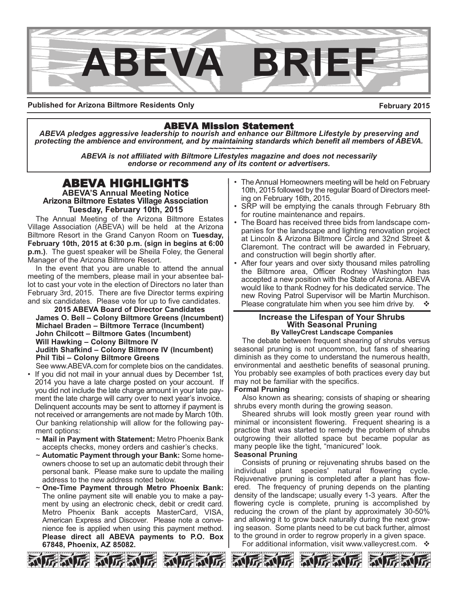

**Published for Arizona Biltmore Residents Only**

**February 2015**

## ABEVA Mission Statement

*ABEVA pledges aggressive leadership to nourish and enhance our Biltmore Lifestyle by preserving and protecting the ambience and environment, and by maintaining standards which benefit all members of ABEVA. ~~~~~~~~~~~*

*ABEVA is not affiliated with Biltmore Lifestyles magazine and does not necessarily endorse or recommend any of its content or advertisers.*

# ABEVA HIGHLIGHTS

**ABEVA'S Annual Meeting Notice Arizona Biltmore Estates Village Association Tuesday, February 10th, 2015**

The Annual Meeting of the Arizona Biltmore Estates Village Association (ABEVA) will be held at the Arizona Biltmore Resort in the Grand Canyon Room on **Tuesday, February 10th, 2015 at 6:30 p.m. (sign in begins at 6:00 p.m.)**. The guest speaker will be Sheila Foley, the General Manager of the Arizona Biltmore Resort.

In the event that you are unable to attend the annual meeting of the members, please mail in your absentee ballot to cast your vote in the election of Directors no later than February 3rd, 2015. There are five Director terms expiring and six candidates. Please vote for up to five candidates.

**2015 ABEVA Board of Director Candidates James O. Bell – Colony Biltmore Greens (Incumbent) Michael Braden – Biltmore Terrace (Incumbent) John Chilcott – Biltmore Gates (Incumbent) Will Hawking – Colony Biltmore IV Judith Shafkind – Colony Biltmore IV (Incumbent) Phil Tibi – Colony Biltmore Greens**

- See www.ABEVA.com for complete bios on the candidates. If you did not mail in your annual dues by December 1st, 2014 you have a late charge posted on your account. If you did not include the late charge amount in your late payment the late charge will carry over to next year's invoice. Delinquent accounts may be sent to attorney if payment is not received or arrangements are not made by March 10th. Our banking relationship will allow for the following payment options:
	- ~ **Mail in Payment with Statement:** Metro Phoenix Bank accepts checks, money orders and cashier's checks.
	- ~ **Automatic Payment through your Bank:** Some homeowners choose to set up an automatic debit through their personal bank. Please make sure to update the mailing address to the new address noted below.
	- ~ **OneTime Payment through Metro Phoenix Bank:** The online payment site will enable you to make a payment by using an electronic check, debit or credit card. Metro Phoenix Bank accepts MasterCard, VISA, American Express and Discover. Please note a convenience fee is applied when using this payment method. **Please direct all ABEVA payments to P.O. Box 67848, Phoenix, AZ 85082.**
- The Annual Homeowners meeting will be held on February 10th, 2015 followed by the regular Board of Directors meeting on February 16th, 2015.
- SRP will be emptying the canals through February 8th for routine maintenance and repairs.
- The Board has received three bids from landscape companies for the landscape and lighting renovation project at Lincoln & Arizona Biltmore Circle and 32nd Street & Claremont. The contract will be awarded in February, and construction will begin shortly after.
- After four years and over sixty thousand miles patrolling the Biltmore area, Officer Rodney Washington has accepted a new position with the State of Arizona. ABEVA would like to thank Rodney for his dedicated service. The new Roving Patrol Supervisor will be Martin Murchison. Please congratulate him when you see him drive by.  $\cdot \cdot \cdot$

## **Increase the Lifespan of Your Shrubs With Seasonal Pruning By ValleyCrest Landscape Companies**

The debate between frequent shearing of shrubs versus seasonal pruning is not uncommon, but fans of shearing diminish as they come to understand the numerous health, environmental and aesthetic benefits of seasonal pruning. You probably see examples of both practices every day but may not be familiar with the specifics.

#### **Formal Pruning**

Also known as shearing; consists of shaping or shearing shrubs every month during the growing season.

Sheared shrubs will look mostly green year round with minimal or inconsistent flowering. Frequent shearing is a practice that was started to remedy the problem of shrubs outgrowing their allotted space but became popular as many people like the tight, "manicured" look.

#### **Seasonal Pruning**

Consists of pruning or rejuvenating shrubs based on the individual plant species' natural flowering cycle. Rejuvenative pruning is completed after a plant has flowered. The frequency of pruning depends on the planting density of the landscape; usually every 1-3 years. After the flowering cycle is complete, pruning is accomplished by reducing the crown of the plant by approximately 30-50% and allowing it to grow back naturally during the next growing season. Some plants need to be cut back further, almost to the ground in order to regrow properly in a given space.

For additional information, visit www.valleycrest.com.  $\cdot$ 





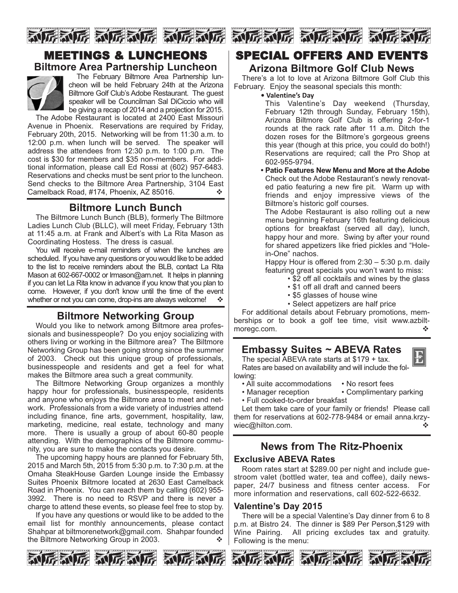

# MEETINGS & LUNCHEONS **Biltmore Area Partnership Luncheon**



The February Biltmore Area Partnership luncheon will be held February 24th at the Arizona Biltmore Golf Club's Adobe Restaurant. The guest speaker will be Councilman Sal DiCiccio who will be giving a recap of 2014 and a projection for 2015.

The Adobe Restaurant is located at 2400 East Missouri Avenue in Phoenix. Reservations are required by Friday, February 20th, 2015. Networking will be from 11:30 a.m. to 12:00 p.m. when lunch will be served. The speaker will address the attendees from 12:30 p.m. to 1:00 p.m. The cost is \$30 for members and \$35 non-members. For additional information, please call Ed Rossi at (602) 957-6483. Reservations and checks must be sent prior to the luncheon. Send checks to the Biltmore Area Partnership, 3104 East Camelback Road, #174, Phoenix, AZ 85016.

## **Biltmore Lunch Bunch**

The Biltmore Lunch Bunch (BLB), formerly The Biltmore Ladies Lunch Club (BLLC), will meet Friday, February 13th at 11:45 a.m. at Frank and Albert's with La Rita Mason as Coordinating Hostess. The dress is casual.

You will receive e-mail reminders of when the lunches are scheduled. If you have any questions or you would like to be added to the list to receive reminders about the BLB, contact La Rita Mason at 602-667-0002 or Irmason@arn.net. It helps in planning if you can let La Rita know in advance if you know that you plan to come. However, if you don't know until the time of the event whether or not you can come, drop-ins are always welcome!  $\cdot \cdot$ 

# **Biltmore Networking Group**

Would you like to network among Biltmore area professionals and businesspeople? Do you enjoy socializing with others living or working in the Biltmore area? The Biltmore Networking Group has been going strong since the summer of 2003. Check out this unique group of professionals, businesspeople and residents and get a feel for what makes the Biltmore area such a great community.

The Biltmore Networking Group organizes a monthly happy hour for professionals, businesspeople, residents and anyone who enjoys the Biltmore area to meet and network. Professionals from a wide variety of industries attend including finance, fine arts, government, hospitality, law, marketing, medicine, real estate, technology and many more. There is usually a group of about 60-80 people attending. With the demographics of the Biltmore community, you are sure to make the contacts you desire.

The upcoming happy hours are planned for February 5th, 2015 and March 5th, 2015 from 5:30 p.m. to 7:30 p.m. at the Omaha SteakHouse Garden Lounge inside the Embassy Suites Phoenix Biltmore located at 2630 East Camelback Road in Phoenix. You can reach them by calling (602) 955 3992. There is no need to RSVP and there is never a charge to attend these events, so please feel free to stop by.

If you have any questions or would like to be added to the email list for monthly announcements, please contact Shahpar at biltmorenetwork@gmail.com. Shahpar founded the Biltmore Networking Group in 2003.  $\diamond$ 





# SPECIAL OFFERS AND EVENTS

## **Arizona Biltmore Golf Club News**

There's a lot to love at Arizona Biltmore Golf Club this February. Enjoy the seasonal specials this month:

**• Valentine's Day** 

This Valentine's Day weekend (Thursday, February 12th through Sunday, February 15th), Arizona Biltmore Golf Club is offering 2-for-1 rounds at the rack rate after 11 a.m. Ditch the dozen roses for the Biltmore's gorgeous greens this year (though at this price, you could do both!) Reservations are required; call the Pro Shop at 602-955-9794.

**• Patio Features New Menu and More at the Adobe** Check out the Adobe Restaurant's newly renovated patio featuring a new fire pit. Warm up with friends and enjoy impressive views of the Biltmore's historic golf courses.

The Adobe Restaurant is also rolling out a new menu beginning February 16th featuring delicious options for breakfast (served all day), lunch, happy hour and more. Swing by after your round for shared appetizers like fried pickles and "Holein-One" nachos.

Happy Hour is offered from 2:30 – 5:30 p.m. daily featuring great specials you won't want to miss:

- \$2 off all cocktails and wines by the glass
- \$1 off all draft and canned beers
- \$5 glasses of house wine
- Select appetizers are half price

For additional details about February promotions, memberships or to book a golf tee time, visit www.azbilt-<br>morego.com. moregc.com.

## **Embassy Suites ~ ABEVA Rates**

The special ABEVA rate starts at \$179 + tax. Rates are based on availability and will include the following:

- 
- All suite accommodations No resort fees<br>• Manager reception Complimentary • Complimentary parking
- Full cooked-to-order breakfast

Let them take care of your family or friends! Please call them for reservations at 602-778-9484 or email anna.krzywiec@hilton.com. ◆

# **News from The Ritz-Phoenix Exclusive ABEVA Rates**

Room rates start at \$289.00 per night and include guestroom valet (bottled water, tea and coffee), daily newspaper, 24/7 business and fitness center access. For more information and reservations, call 602-522-6632.

### **Valentine's Day 2015**

There will be a special Valentine's Day dinner from 6 to 8 p.m. at Bistro 24. The dinner is \$89 Per Person,\$129 with Wine Pairing. All pricing excludes tax and gratuity. Following is the menu:







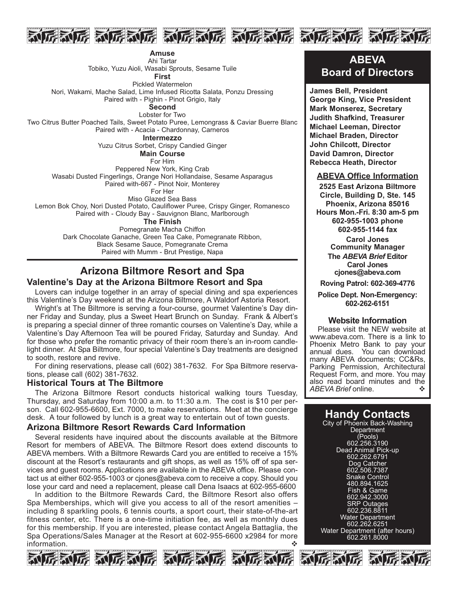

**Amuse** Ahi Tartar

Tobiko, Yuzu Aioli, Wasabi Sprouts, Sesame Tuile

**First**

Pickled Watermelon

Nori, Wakami, Mache Salad, Lime Infused Ricotta Salata, Ponzu Dressing Paired with - Pighin - Pinot Grigio, Italy

**Second**

Lobster for Two Two Citrus Butter Poached Tails, Sweet Potato Puree, Lemongrass & Caviar Buerre Blanc Paired with - Acacia - Chardonnay, Carneros

**Intermezzo**

Yuzu Citrus Sorbet, Crispy Candied Ginger

**Main Course**

For Him

Peppered New York, King Crab Wasabi Dusted Fingerlings, Orange Nori Hollandaise, Sesame Asparagus

Paired with-667 - Pinot Noir, Monterey

For Her

Miso Glazed Sea Bass

Lemon Bok Choy, Nori Dusted Potato, Cauliflower Puree, Crispy Ginger, Romanesco Paired with - Cloudy Bay - Sauvignon Blanc, Marlborough

**The Finish**

Pomegranate Macha Chiffon Dark Chocolate Ganache, Green Tea Cake, Pomegranate Ribbon, Black Sesame Sauce, Pomegranate Crema Paired with Mumm - Brut Prestige, Napa

## **Arizona Biltmore Resort and Spa Valentine's Day at the Arizona Biltmore Resort and Spa**

Lovers can indulge together in an array of special dining and spa experiences this Valentine's Day weekend at the Arizona Biltmore, A Waldorf Astoria Resort.

Wright's at The Biltmore is serving a four-course, gourmet Valentine's Day dinner Friday and Sunday, plus a Sweet Heart Brunch on Sunday. Frank & Albert's is preparing a special dinner of three romantic courses on Valentine's Day, while a Valentine's Day Afternoon Tea will be poured Friday, Saturday and Sunday. And for those who prefer the romantic privacy of their room there's an in-room candlelight dinner. At Spa Biltmore, four special Valentine's Day treatments are designed to sooth, restore and revive.

For dining reservations, please call (602) 381-7632. For Spa Biltmore reservations, please call (602) 381-7632.

#### **Historical Tours at The Biltmore**

The Arizona Biltmore Resort conducts historical walking tours Tuesday, Thursday, and Saturday from 10:00 a.m. to 11:30 a.m. The cost is \$10 per person. Call 602-955-6600, Ext. 7000, to make reservations. Meet at the concierge desk. A tour followed by lunch is a great way to entertain out of town guests.

#### **Arizona Biltmore Resort Rewards Card Information**

Several residents have inquired about the discounts available at the Biltmore Resort for members of ABEVA. The Biltmore Resort does extend discounts to ABEVA members. With a Biltmore Rewards Card you are entitled to receive a 15% discount at the Resort's restaurants and gift shops, as well as 15% off of spa services and guest rooms. Applications are available in the ABEVA office. Please contact us at either 602-955-1003 or cjones@abeva.com to receive a copy. Should you lose your card and need a replacement, please call Dena Isaacs at 602-955-6600

In addition to the Biltmore Rewards Card, the Biltmore Resort also offers Spa Memberships, which will give you access to all of the resort amenities – including 8 sparkling pools, 6 tennis courts, a sport court, their state-of-the-art fitness center, etc. There is a one-time initiation fee, as well as monthly dues for this membership. If you are interested, please contact Angela Battaglia, the Spa Operations/Sales Manager at the Resort at 602-955-6600 x2984 for more information.  $\clubsuit$ 



**ABEVA Board of Directors**

**James Bell, President George King, Vice President Mark Monserez, Secretary Judith Shafkind, Treasurer Michael Leeman, Director Michael Braden, Director John Chilcott, Director David Damron, Director Rebecca Heath, Director**

#### **ABEVA Office Information**

**2525 East Arizona Biltmore Circle, Building D, Ste. 145 Phoenix, Arizona 85016** Hours Mon.-Fri. 8:30 am-5 pm **6029551003 phone 6029551144 fax Carol Jones Community Manager The** *ABEVA Brief* **Editor Carol Jones cjones@abeva.com Roving Patrol: 6023694776**

**Police Dept. Non-Emergency: 6022626151**

#### **Website Information**

Please visit the NEW website at www.abeva.com. There is a link to Phoenix Metro Bank to pay your annual dues. You can download many ABEVA documents; CC&Rs, Parking Permission, Architectural Request Form, and more. You may also read board minutes and the ABEVA Brief online. ABEVA Brief online.

## **Handy Contacts**

City of Phoenix Back-Washing **Department** (Pools) 602.256.3190 Dead Animal Pick-up 602.262.6791 Dog Catcher 602.506.7387 Snake Control 480.894.1625 Fish & Game 602.942.3000 SRP Outages 602.236.8811 Water Department 602.262.6251 Water Department (after hours) 602.261.8000